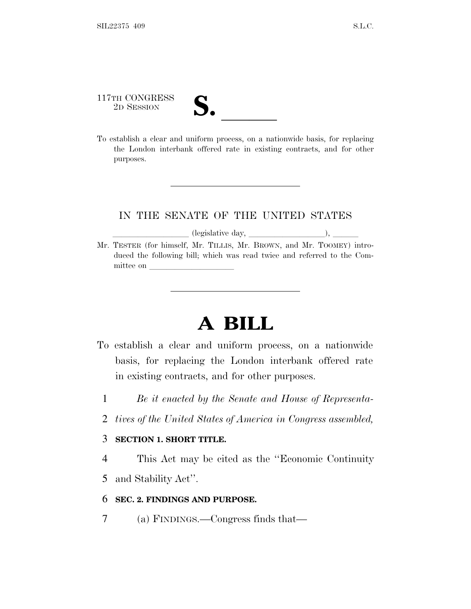117TH CONGRESS 117TH CONGRESS<br>
2D SESSION<br>
To establish a clear and uniform process, on a nationwide basis, for replacing

the London interbank offered rate in existing contracts, and for other purposes.

### IN THE SENATE OF THE UNITED STATES

llequalitive day,  $\frac{1}{\ell}$  (legislative day,  $\frac{1}{\ell}$ ),  $\frac{1}{\ell}$ Mr. TESTER (for himself, Mr. TILLIS, Mr. BROWN, and Mr. TOOMEY) introduced the following bill; which was read twice and referred to the Committee on l

## **A BILL**

- To establish a clear and uniform process, on a nationwide basis, for replacing the London interbank offered rate in existing contracts, and for other purposes.
	- 1 *Be it enacted by the Senate and House of Representa-*
	- 2 *tives of the United States of America in Congress assembled,*

#### 3 **SECTION 1. SHORT TITLE.**

4 This Act may be cited as the ''Economic Continuity

5 and Stability Act''.

### 6 **SEC. 2. FINDINGS AND PURPOSE.**

7 (a) FINDINGS.—Congress finds that—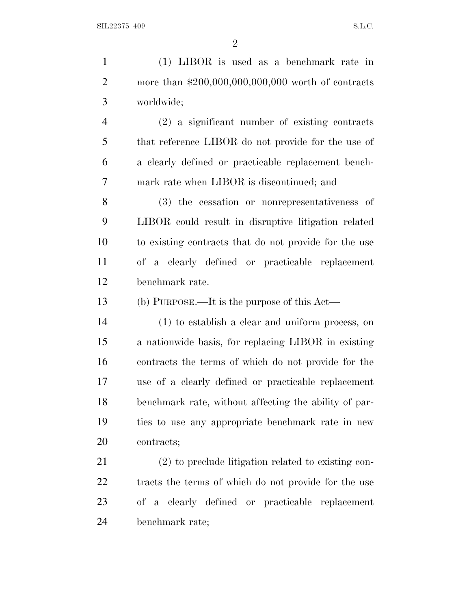(1) LIBOR is used as a benchmark rate in more than \$200,000,000,000,000 worth of contracts worldwide; (2) a significant number of existing contracts that reference LIBOR do not provide for the use of a clearly defined or practicable replacement bench- mark rate when LIBOR is discontinued; and (3) the cessation or nonrepresentativeness of LIBOR could result in disruptive litigation related to existing contracts that do not provide for the use of a clearly defined or practicable replacement benchmark rate. (b) PURPOSE.—It is the purpose of this Act— (1) to establish a clear and uniform process, on a nationwide basis, for replacing LIBOR in existing contracts the terms of which do not provide for the use of a clearly defined or practicable replacement benchmark rate, without affecting the ability of par- ties to use any appropriate benchmark rate in new contracts; (2) to preclude litigation related to existing con- tracts the terms of which do not provide for the use of a clearly defined or practicable replacement benchmark rate;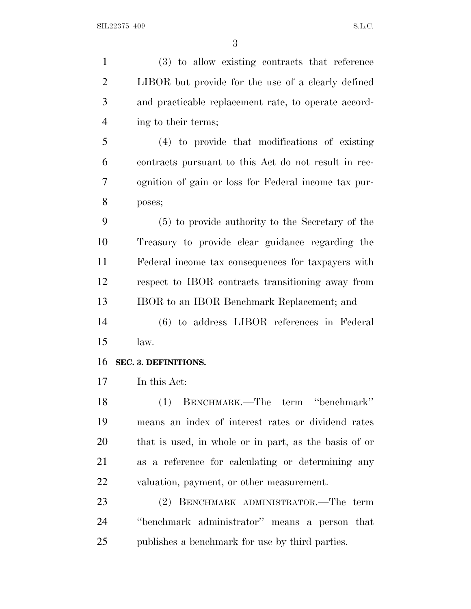(3) to allow existing contracts that reference LIBOR but provide for the use of a clearly defined and practicable replacement rate, to operate accord- ing to their terms; (4) to provide that modifications of existing contracts pursuant to this Act do not result in rec- ognition of gain or loss for Federal income tax pur- poses; (5) to provide authority to the Secretary of the Treasury to provide clear guidance regarding the Federal income tax consequences for taxpayers with respect to IBOR contracts transitioning away from IBOR to an IBOR Benchmark Replacement; and (6) to address LIBOR references in Federal law. **SEC. 3. DEFINITIONS.** In this Act: (1) BENCHMARK.—The term ''benchmark'' means an index of interest rates or dividend rates that is used, in whole or in part, as the basis of or as a reference for calculating or determining any valuation, payment, or other measurement. (2) BENCHMARK ADMINISTRATOR.—The term ''benchmark administrator'' means a person that publishes a benchmark for use by third parties.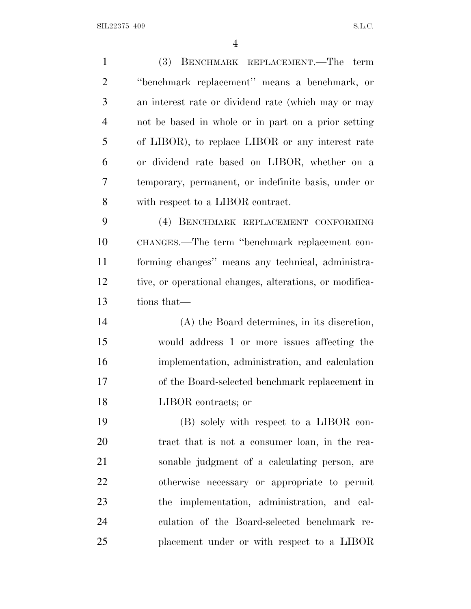$SLL22375$  409 S.L.C.

 (3) BENCHMARK REPLACEMENT.—The term ''benchmark replacement'' means a benchmark, or an interest rate or dividend rate (which may or may not be based in whole or in part on a prior setting of LIBOR), to replace LIBOR or any interest rate or dividend rate based on LIBOR, whether on a temporary, permanent, or indefinite basis, under or with respect to a LIBOR contract. (4) BENCHMARK REPLACEMENT CONFORMING CHANGES.—The term ''benchmark replacement con- forming changes'' means any technical, administra- tive, or operational changes, alterations, or modifica- tions that— (A) the Board determines, in its discretion, would address 1 or more issues affecting the implementation, administration, and calculation of the Board-selected benchmark replacement in LIBOR contracts; or (B) solely with respect to a LIBOR con- tract that is not a consumer loan, in the rea- sonable judgment of a calculating person, are otherwise necessary or appropriate to permit the implementation, administration, and cal- culation of the Board-selected benchmark re-placement under or with respect to a LIBOR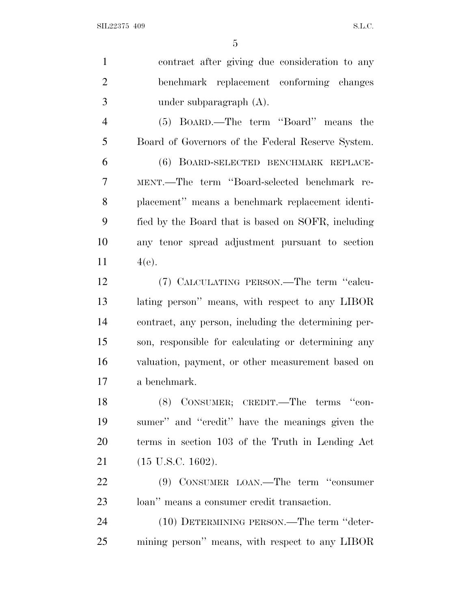| $\mathbf{1}$   | contract after giving due consideration to any       |
|----------------|------------------------------------------------------|
| $\overline{2}$ | benchmark replacement conforming changes             |
| 3              | under subparagraph $(A)$ .                           |
| $\overline{4}$ | (5) BOARD.—The term "Board" means the                |
| 5              | Board of Governors of the Federal Reserve System.    |
| 6              | (6) BOARD-SELECTED BENCHMARK REPLACE-                |
| 7              | MENT.—The term "Board-selected benchmark re-         |
| 8              | placement" means a benchmark replacement identi-     |
| 9              | fied by the Board that is based on SOFR, including   |
| 10             | any tenor spread adjustment pursuant to section      |
| 11             | $4(e)$ .                                             |
| 12             | (7) CALCULATING PERSON.—The term "calcu-             |
| 13             | lating person" means, with respect to any LIBOR      |
| 14             | contract, any person, including the determining per- |
| 15             | son, responsible for calculating or determining any  |
| 16             | valuation, payment, or other measurement based on    |
| 17             | a benchmark.                                         |
| 18             | (8) CONSUMER; CREDIT.—The terms "con-                |
| 19             | sumer" and "credit" have the meanings given the      |
| 20             | terms in section 103 of the Truth in Lending Act     |
| 21             | $(15 \text{ U.S.C. } 1602).$                         |
| 22             | (9) CONSUMER LOAN.—The term "consumer"               |
| 23             | loan" means a consumer credit transaction.           |
| 24             | (10) DETERMINING PERSON.—The term "deter-            |
| 25             | mining person" means, with respect to any LIBOR      |
|                |                                                      |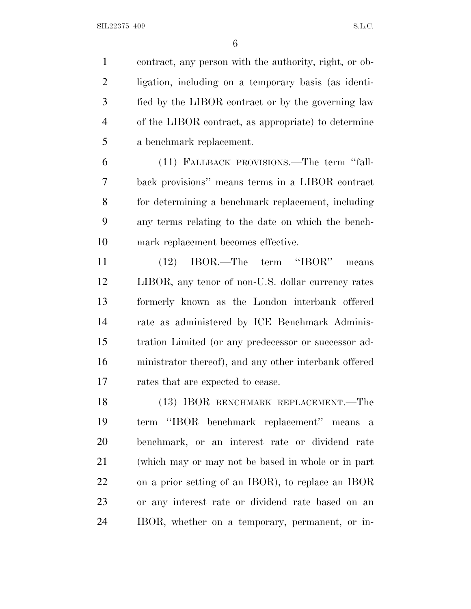contract, any person with the authority, right, or ob- ligation, including on a temporary basis (as identi- fied by the LIBOR contract or by the governing law of the LIBOR contract, as appropriate) to determine a benchmark replacement.

 (11) FALLBACK PROVISIONS.—The term ''fall- back provisions'' means terms in a LIBOR contract for determining a benchmark replacement, including any terms relating to the date on which the bench-mark replacement becomes effective.

 (12) IBOR.—The term ''IBOR'' means LIBOR, any tenor of non-U.S. dollar currency rates formerly known as the London interbank offered rate as administered by ICE Benchmark Adminis- tration Limited (or any predecessor or successor ad- ministrator thereof), and any other interbank offered rates that are expected to cease.

 (13) IBOR BENCHMARK REPLACEMENT.—The term ''IBOR benchmark replacement'' means a benchmark, or an interest rate or dividend rate (which may or may not be based in whole or in part on a prior setting of an IBOR), to replace an IBOR or any interest rate or dividend rate based on an IBOR, whether on a temporary, permanent, or in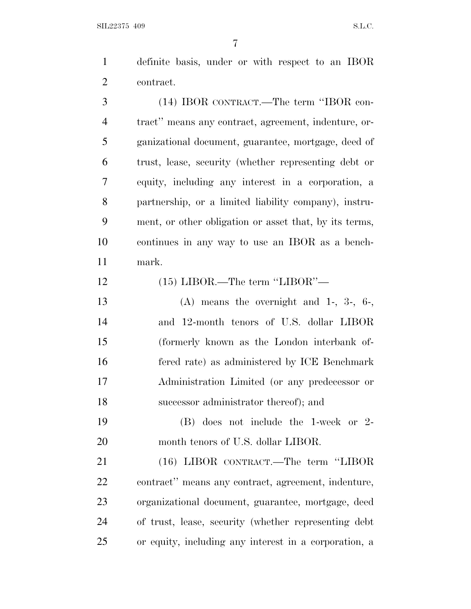$SLL22375$  409 S.L.C.

 definite basis, under or with respect to an IBOR contract.

 (14) IBOR CONTRACT.—The term ''IBOR con- tract'' means any contract, agreement, indenture, or- ganizational document, guarantee, mortgage, deed of trust, lease, security (whether representing debt or equity, including any interest in a corporation, a partnership, or a limited liability company), instru- ment, or other obligation or asset that, by its terms, continues in any way to use an IBOR as a bench-mark.

(15) LIBOR.—The term ''LIBOR''—

 (A) means the overnight and 1-, 3-, 6-, and 12-month tenors of U.S. dollar LIBOR (formerly known as the London interbank of- fered rate) as administered by ICE Benchmark Administration Limited (or any predecessor or successor administrator thereof); and

 (B) does not include the 1-week or 2- 20 month tenors of U.S. dollar LIBOR.

 (16) LIBOR CONTRACT.—The term ''LIBOR contract'' means any contract, agreement, indenture, organizational document, guarantee, mortgage, deed of trust, lease, security (whether representing debt or equity, including any interest in a corporation, a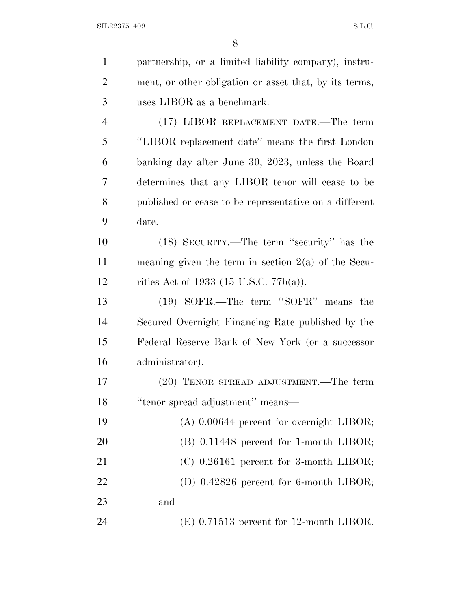| $\mathbf{1}$   | partnership, or a limited liability company), instru-  |
|----------------|--------------------------------------------------------|
| $\overline{2}$ | ment, or other obligation or asset that, by its terms, |
| 3              | uses LIBOR as a benchmark.                             |
| $\overline{4}$ | (17) LIBOR REPLACEMENT DATE.—The term                  |
| 5              | "LIBOR replacement date" means the first London        |
| 6              | banking day after June 30, 2023, unless the Board      |
| 7              | determines that any LIBOR tenor will cease to be       |
| 8              | published or cease to be representative on a different |
| 9              | date.                                                  |
| 10             | (18) SECURITY.—The term "security" has the             |
| 11             | meaning given the term in section $2(a)$ of the Secu-  |
| 12             | rities Act of 1933 (15 U.S.C. 77 $b(a)$ ).             |
| 13             | (19) SOFR.—The term "SOFR" means the                   |
| 14             | Secured Overnight Financing Rate published by the      |
| 15             | Federal Reserve Bank of New York (or a successor       |
| 16             | administrator).                                        |
| 17             | (20) TENOR SPREAD ADJUSTMENT.—The term                 |
| 18             | "tenor spread adjustment" means—                       |
| 19             | $(A)$ 0.00644 percent for overnight LIBOR;             |
| 20             | $(B)$ 0.11448 percent for 1-month LIBOR;               |
| 21             | $(C)$ 0.26161 percent for 3-month LIBOR;               |
| 22             | (D) $0.42826$ percent for 6-month LIBOR;               |
| 23             | and                                                    |
| 24             | $(E)$ 0.71513 percent for 12-month LIBOR.              |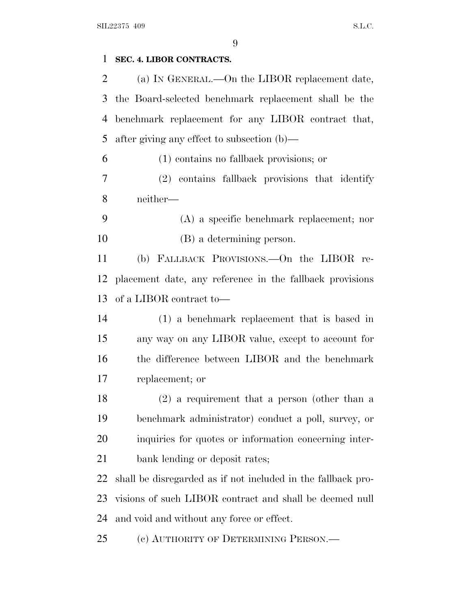# **SEC. 4. LIBOR CONTRACTS.** (a) I<sup>N</sup> GENERAL.—On the LIBOR replacement date, the Board-selected benchmark replacement shall be the benchmark replacement for any LIBOR contract that, after giving any effect to subsection (b)— (1) contains no fallback provisions; or (2) contains fallback provisions that identify neither— (A) a specific benchmark replacement; nor (B) a determining person. (b) FALLBACK PROVISIONS.—On the LIBOR re- placement date, any reference in the fallback provisions of a LIBOR contract to— (1) a benchmark replacement that is based in any way on any LIBOR value, except to account for the difference between LIBOR and the benchmark replacement; or (2) a requirement that a person (other than a benchmark administrator) conduct a poll, survey, or inquiries for quotes or information concerning inter- bank lending or deposit rates; shall be disregarded as if not included in the fallback pro- visions of such LIBOR contract and shall be deemed null and void and without any force or effect. (c) AUTHORITY OF DETERMINING PERSON.—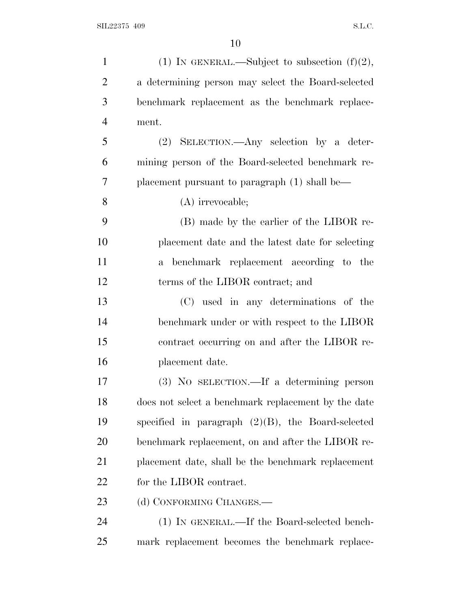| $\mathbf{1}$   | (1) IN GENERAL.—Subject to subsection $(f)(2)$ ,     |
|----------------|------------------------------------------------------|
| $\overline{2}$ | a determining person may select the Board-selected   |
| 3              | benchmark replacement as the benchmark replace-      |
| $\overline{4}$ | ment.                                                |
| 5              | $(2)$ SELECTION.—Any selection by a deter-           |
| 6              | mining person of the Board-selected benchmark re-    |
| 7              | placement pursuant to paragraph $(1)$ shall be—      |
| 8              | $(A)$ irrevocable;                                   |
| 9              | (B) made by the earlier of the LIBOR re-             |
| 10             | placement date and the latest date for selecting     |
| 11             | a benchmark replacement according to the             |
| 12             | terms of the LIBOR contract; and                     |
| 13             | (C) used in any determinations of the                |
| 14             | benchmark under or with respect to the LIBOR         |
| 15             | contract occurring on and after the LIBOR re-        |
| 16             | placement date.                                      |
| 17             | (3) No SELECTION.—If a determining person            |
| 18             | does not select a benchmark replacement by the date  |
| 19             | specified in paragraph $(2)(B)$ , the Board-selected |
| 20             | benchmark replacement, on and after the LIBOR re-    |
| 21             | placement date, shall be the benchmark replacement   |
| 22             | for the LIBOR contract.                              |
| 23             | (d) CONFORMING CHANGES.—                             |
| 24             | (1) IN GENERAL.—If the Board-selected bench-         |
| 25             | mark replacement becomes the benchmark replace-      |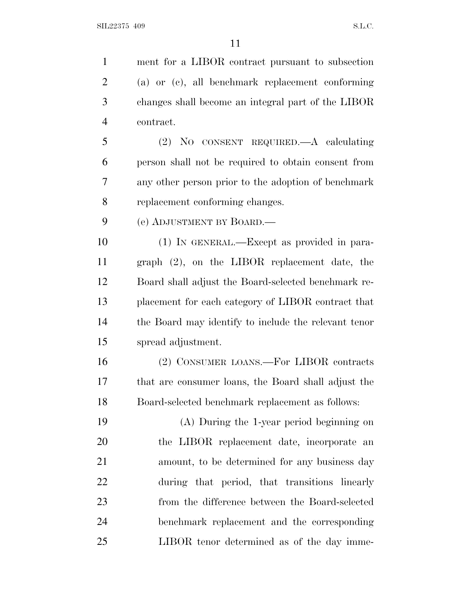ment for a LIBOR contract pursuant to subsection (a) or (c), all benchmark replacement conforming changes shall become an integral part of the LIBOR contract. (2) NO CONSENT REQUIRED.—A calculating person shall not be required to obtain consent from any other person prior to the adoption of benchmark replacement conforming changes. (e) ADJUSTMENT BY BOARD.— (1) IN GENERAL.—Except as provided in para- graph (2), on the LIBOR replacement date, the Board shall adjust the Board-selected benchmark re- placement for each category of LIBOR contract that the Board may identify to include the relevant tenor spread adjustment. (2) CONSUMER LOANS.—For LIBOR contracts that are consumer loans, the Board shall adjust the Board-selected benchmark replacement as follows: (A) During the 1-year period beginning on the LIBOR replacement date, incorporate an amount, to be determined for any business day during that period, that transitions linearly from the difference between the Board-selected benchmark replacement and the corresponding LIBOR tenor determined as of the day imme-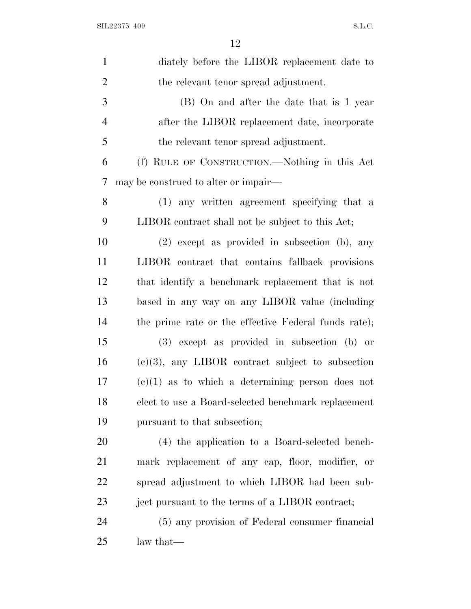| $\mathbf{1}$   | diately before the LIBOR replacement date to         |
|----------------|------------------------------------------------------|
| $\overline{2}$ | the relevant tenor spread adjustment.                |
| 3              | (B) On and after the date that is 1 year             |
| $\overline{4}$ | after the LIBOR replacement date, incorporate        |
| 5              | the relevant tenor spread adjustment.                |
| 6              | (f) RULE OF CONSTRUCTION.—Nothing in this Act        |
| 7              | may be construed to alter or impair—                 |
| 8              | (1) any written agreement specifying that a          |
| 9              | LIBOR contract shall not be subject to this Act;     |
| 10             | $(2)$ except as provided in subsection (b), any      |
| 11             | LIBOR contract that contains fallback provisions     |
| 12             | that identify a benchmark replacement that is not    |
| 13             | based in any way on any LIBOR value (including       |
| 14             | the prime rate or the effective Federal funds rate); |
| 15             | (3) except as provided in subsection (b) or          |
| 16             | $(e)(3)$ , any LIBOR contract subject to subsection  |
| 17             | $(e)(1)$ as to which a determining person does not   |
| 18             | elect to use a Board-selected benchmark replacement  |
| 19             | pursuant to that subsection;                         |
| 20             | (4) the application to a Board-selected bench-       |
| 21             | mark replacement of any cap, floor, modifier, or     |
| <u>22</u>      | spread adjustment to which LIBOR had been sub-       |
| 23             | ject pursuant to the terms of a LIBOR contract;      |
| 24             | (5) any provision of Federal consumer financial      |
| 25             | law that—                                            |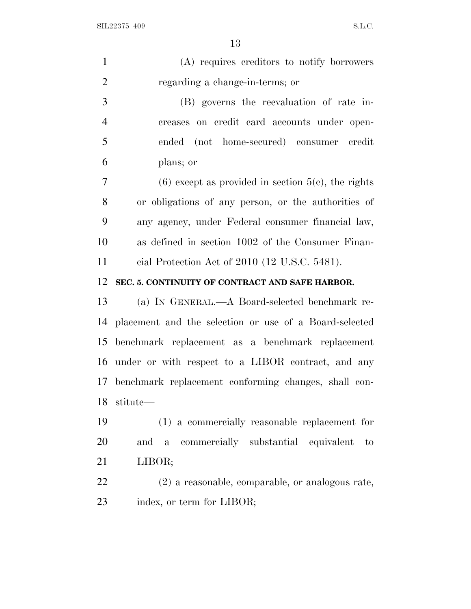SIL22375 409 S.L.C.

| $\mathbf{1}$   | (A) requires creditors to notify borrowers                   |
|----------------|--------------------------------------------------------------|
| $\overline{2}$ | regarding a change-in-terms; or                              |
| 3              | (B) governs the reevaluation of rate in-                     |
| $\overline{4}$ | creases on credit card accounts under open-                  |
| 5              | ended (not home-secured) consumer credit                     |
| 6              | plans; or                                                    |
| $\tau$         | $(6)$ except as provided in section $5(c)$ , the rights      |
| 8              | or obligations of any person, or the authorities of          |
| 9              | any agency, under Federal consumer financial law,            |
| 10             | as defined in section 1002 of the Consumer Finan-            |
| 11             | cial Protection Act of $2010$ (12 U.S.C. 5481).              |
| 12             | SEC. 5. CONTINUITY OF CONTRACT AND SAFE HARBOR.              |
| 13             | (a) IN GENERAL.—A Board-selected benchmark re-               |
|                | 14 placement and the selection or use of a Board-selected    |
| 15             | benchmark replacement as a benchmark replacement             |
| 16             | under or with respect to a LIBOR contract, and any           |
|                | 17 benchmark replacement conforming changes, shall con-      |
| 18             | stitute-                                                     |
| 19             | (1) a commercially reasonable replacement for                |
| 20             | commercially substantial equivalent<br>and a<br>$\mathbf{t}$ |
| 21             | LIBOR;                                                       |
| 22             | (2) a reasonable, comparable, or analogous rate,             |
| 23             | index, or term for LIBOR;                                    |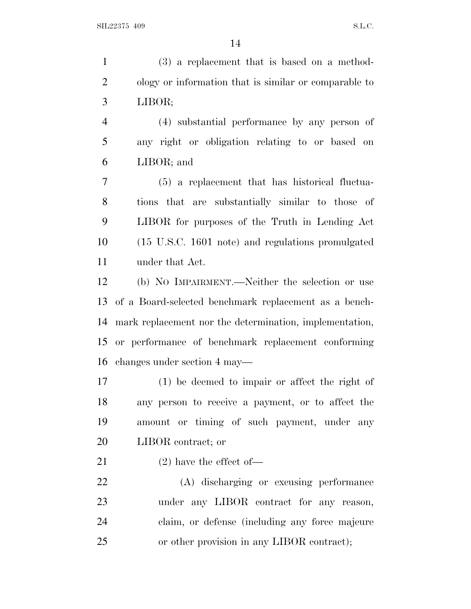(3) a replacement that is based on a method- ology or information that is similar or comparable to LIBOR;

 (4) substantial performance by any person of any right or obligation relating to or based on LIBOR; and

 (5) a replacement that has historical fluctua- tions that are substantially similar to those of LIBOR for purposes of the Truth in Lending Act (15 U.S.C. 1601 note) and regulations promulgated under that Act.

 (b) N<sup>O</sup> IMPAIRMENT.—Neither the selection or use of a Board-selected benchmark replacement as a bench- mark replacement nor the determination, implementation, or performance of benchmark replacement conforming changes under section 4 may—

 (1) be deemed to impair or affect the right of any person to receive a payment, or to affect the amount or timing of such payment, under any LIBOR contract; or

(2) have the effect of—

 (A) discharging or excusing performance under any LIBOR contract for any reason, claim, or defense (including any force majeure or other provision in any LIBOR contract);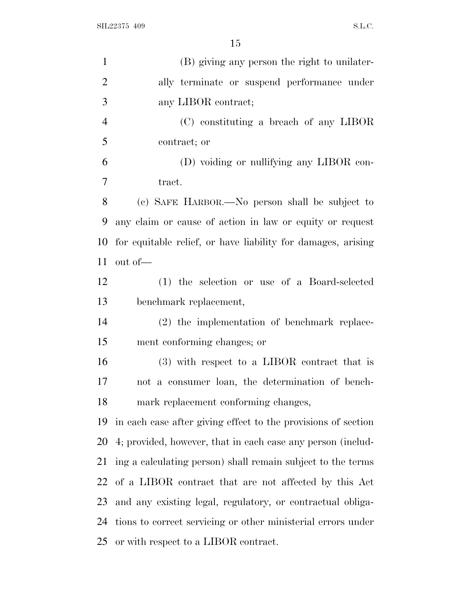| $\mathbf{1}$   | (B) giving any person the right to unilater-                  |
|----------------|---------------------------------------------------------------|
| $\overline{2}$ | ally terminate or suspend performance under                   |
| 3              | any LIBOR contract;                                           |
| $\overline{4}$ | (C) constituting a breach of any LIBOR                        |
| 5              | contract; or                                                  |
| 6              | (D) voiding or nullifying any LIBOR con-                      |
| 7              | tract.                                                        |
| 8              | (c) SAFE HARBOR.—No person shall be subject to                |
| 9              | any claim or cause of action in law or equity or request      |
| 10             | for equitable relief, or have liability for damages, arising  |
| 11             | out of-                                                       |
| 12             | (1) the selection or use of a Board-selected                  |
| 13             | benchmark replacement,                                        |
| 14             | (2) the implementation of benchmark replace-                  |
| 15             | ment conforming changes; or                                   |
| 16             | (3) with respect to a LIBOR contract that is                  |
| 17             | not a consumer loan, the determination of bench-              |
| 18             | mark replacement conforming changes,                          |
| 19             | in each case after giving effect to the provisions of section |
| 20             | 4; provided, however, that in each case any person (includ-   |
| 21             | ing a calculating person) shall remain subject to the terms   |
| 22             | of a LIBOR contract that are not affected by this Act         |
| 23             | and any existing legal, regulatory, or contractual obliga-    |
| 24             | tions to correct servicing or other ministerial errors under  |
| 25             | or with respect to a LIBOR contract.                          |
|                |                                                               |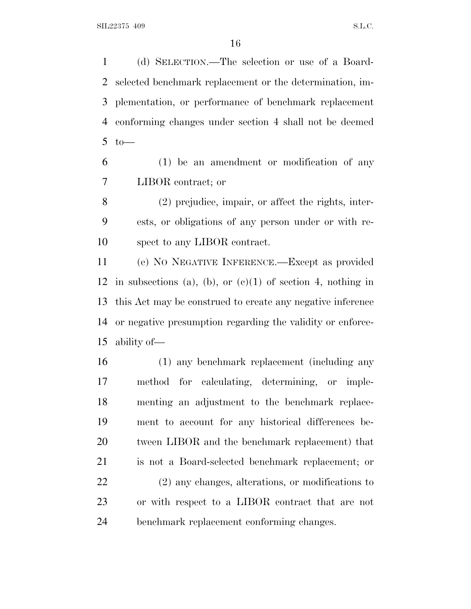(d) SELECTION.—The selection or use of a Board- selected benchmark replacement or the determination, im- plementation, or performance of benchmark replacement conforming changes under section 4 shall not be deemed to—

 (1) be an amendment or modification of any LIBOR contract; or

 (2) prejudice, impair, or affect the rights, inter- ests, or obligations of any person under or with re-spect to any LIBOR contract.

 (e) N<sup>O</sup> NEGATIVE INFERENCE.—Except as provided 12 in subsections (a), (b), or  $(e)(1)$  of section 4, nothing in this Act may be construed to create any negative inference or negative presumption regarding the validity or enforce-ability of—

 (1) any benchmark replacement (including any method for calculating, determining, or imple- menting an adjustment to the benchmark replace- ment to account for any historical differences be- tween LIBOR and the benchmark replacement) that is not a Board-selected benchmark replacement; or (2) any changes, alterations, or modifications to or with respect to a LIBOR contract that are not benchmark replacement conforming changes.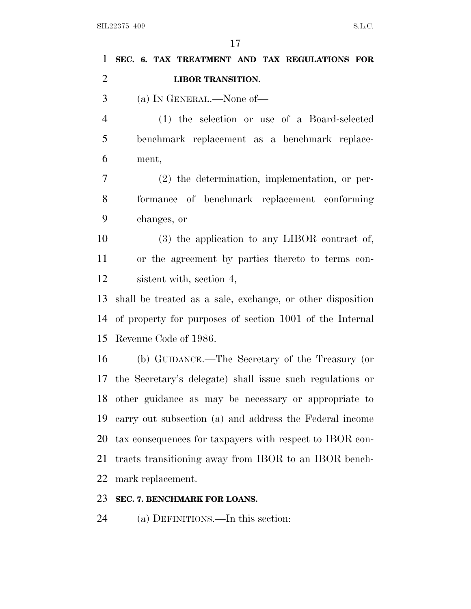| $\mathbf{1}$   | SEC. 6. TAX TREATMENT AND TAX REGULATIONS FOR                |
|----------------|--------------------------------------------------------------|
| $\overline{2}$ | <b>LIBOR TRANSITION.</b>                                     |
| 3              | (a) IN GENERAL.—None of—                                     |
| $\overline{4}$ | (1) the selection or use of a Board-selected                 |
| 5              | benchmark replacement as a benchmark replace-                |
| 6              | ment,                                                        |
| $\tau$         | $(2)$ the determination, implementation, or per-             |
| 8              | formance of benchmark replacement conforming                 |
| 9              | changes, or                                                  |
| 10             | $(3)$ the application to any LIBOR contract of,              |
| 11             | or the agreement by parties thereto to terms con-            |
| 12             | sistent with, section 4,                                     |
| 13             | shall be treated as a sale, exchange, or other disposition   |
| 14             | of property for purposes of section 1001 of the Internal     |
| 15             | Revenue Code of 1986.                                        |
| 16             | (b) GUIDANCE.—The Secretary of the Treasury (or              |
|                | 17 the Secretary's delegate) shall issue such regulations or |
| 18             | other guidance as may be necessary or appropriate to         |
| 19             | carry out subsection (a) and address the Federal income      |
| 20             | tax consequences for taxpayers with respect to IBOR con-     |
| 21             | tracts transitioning away from IBOR to an IBOR bench-        |
| 22             | mark replacement.                                            |
| 23             | SEC. 7. BENCHMARK FOR LOANS.                                 |
| 24             | (a) DEFINITIONS.—In this section:                            |
|                |                                                              |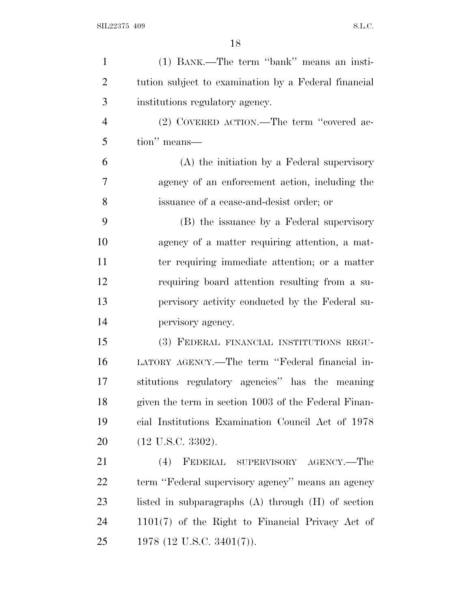| $\mathbf{1}$   | (1) BANK.—The term "bank" means an insti-              |
|----------------|--------------------------------------------------------|
| $\overline{2}$ | tution subject to examination by a Federal financial   |
| 3              | institutions regulatory agency.                        |
| $\overline{4}$ | (2) COVERED ACTION.—The term "covered ac-              |
| 5              | tion" means—                                           |
| 6              | (A) the initiation by a Federal supervisory            |
| 7              | agency of an enforcement action, including the         |
| 8              | issuance of a cease-and-desist order; or               |
| 9              | (B) the issuance by a Federal supervisory              |
| 10             | agency of a matter requiring attention, a mat-         |
| 11             | ter requiring immediate attention; or a matter         |
| 12             | requiring board attention resulting from a su-         |
| 13             | pervisory activity conducted by the Federal su-        |
| 14             | pervisory agency.                                      |
| 15             | (3) FEDERAL FINANCIAL INSTITUTIONS REGU-               |
| 16             | LATORY AGENCY.—The term "Federal financial in-         |
| 17             | stitutions regulatory agencies" has the meaning        |
| 18             | given the term in section 1003 of the Federal Finan-   |
| 19             | cial Institutions Examination Council Act of 1978      |
| 20             | $(12 \text{ U.S.C. } 3302).$                           |
| 21             | (4)<br>FEDERAL SUPERVISORY AGENCY.-The                 |
| 22             | term "Federal supervisory agency" means an agency      |
| 23             | listed in subparagraphs $(A)$ through $(H)$ of section |
| 24             | $1101(7)$ of the Right to Financial Privacy Act of     |
| 25             | 1978 (12 U.S.C. 3401(7)).                              |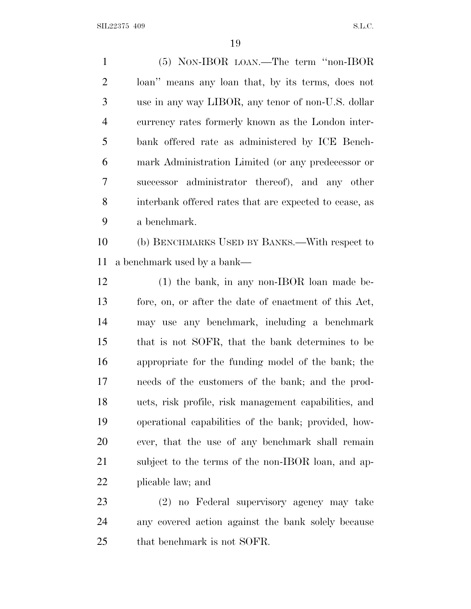$SLL22375$  409 S.L.C.

 (5) NON-IBOR LOAN.—The term ''non-IBOR loan'' means any loan that, by its terms, does not use in any way LIBOR, any tenor of non-U.S. dollar currency rates formerly known as the London inter- bank offered rate as administered by ICE Bench- mark Administration Limited (or any predecessor or successor administrator thereof), and any other interbank offered rates that are expected to cease, as a benchmark.

 (b) BENCHMARKS USED BY BANKS.—With respect to a benchmark used by a bank—

 (1) the bank, in any non-IBOR loan made be- fore, on, or after the date of enactment of this Act, may use any benchmark, including a benchmark that is not SOFR, that the bank determines to be appropriate for the funding model of the bank; the needs of the customers of the bank; and the prod- ucts, risk profile, risk management capabilities, and operational capabilities of the bank; provided, how- ever, that the use of any benchmark shall remain subject to the terms of the non-IBOR loan, and ap-plicable law; and

 (2) no Federal supervisory agency may take any covered action against the bank solely because that benchmark is not SOFR.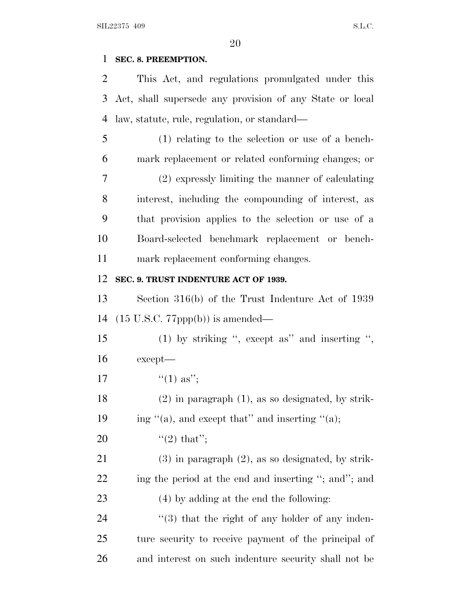### **SEC. 8. PREEMPTION.**

 This Act, and regulations promulgated under this Act, shall supersede any provision of any State or local law, statute, rule, regulation, or standard—

 (1) relating to the selection or use of a bench- mark replacement or related conforming changes; or (2) expressly limiting the manner of calculating interest, including the compounding of interest, as that provision applies to the selection or use of a Board-selected benchmark replacement or bench-mark replacement conforming changes.

### **SEC. 9. TRUST INDENTURE ACT OF 1939.**

 Section 316(b) of the Trust Indenture Act of 1939 (15 U.S.C. 77ppp(b)) is amended—

 (1) by striking '', except as'' and inserting '', except—

- 17  $"(1)$  as";
- (2) in paragraph (1), as so designated, by strik-19 ing  $\lq( a)$ , and except that" and inserting  $\lq( a)$ ;
- 20  $\text{``(2) that''};$

 (3) in paragraph (2), as so designated, by strik-22 ing the period at the end and inserting "; and"; and (4) by adding at the end the following:

24  $(3)$  that the right of any holder of any inden- ture security to receive payment of the principal of and interest on such indenture security shall not be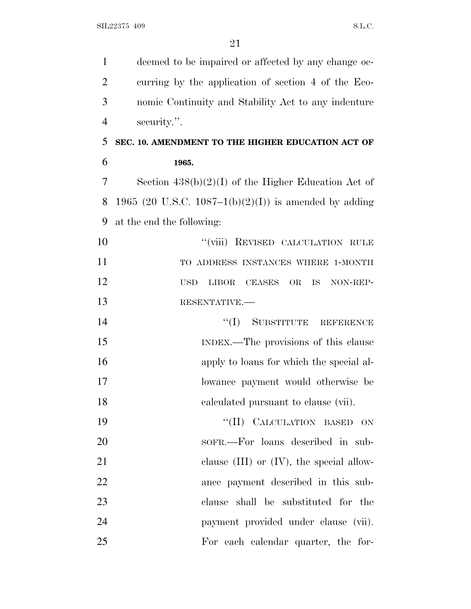| $\mathbf{1}$   | deemed to be impaired or affected by any change oc-                  |
|----------------|----------------------------------------------------------------------|
| $\overline{2}$ | curring by the application of section 4 of the Eco-                  |
| 3              | nomic Continuity and Stability Act to any indenture                  |
| $\overline{4}$ | security.".                                                          |
| 5              | SEC. 10. AMENDMENT TO THE HIGHER EDUCATION ACT OF                    |
| 6              | 1965.                                                                |
| 7              | Section $438(b)(2)(I)$ of the Higher Education Act of                |
| 8              | 1965 (20 U.S.C. 1087–1(b)(2)(I)) is amended by adding                |
| 9              | at the end the following:                                            |
| 10             | "(viii) REVISED CALCULATION RULE                                     |
| 11             | TO ADDRESS INSTANCES WHERE 1-MONTH                                   |
| 12             | <b>LIBOR</b><br>CEASES<br><b>OR</b><br>IS.<br>NON-REP-<br><b>USD</b> |
| 13             | RESENTATIVE.                                                         |
| 14             | "(I) SUBSTITUTE REFERENCE                                            |
| 15             | INDEX.—The provisions of this clause                                 |
| 16             | apply to loans for which the special al-                             |
| 17             | lowance payment would otherwise be                                   |
| 18             | calculated pursuant to clause (vii).                                 |
| 19             | "(II) CALCULATION BASED ON                                           |
| 20             | sofr.—For loans described in sub-                                    |
| 21             | clause $(III)$ or $(IV)$ , the special allow-                        |
| 22             | ance payment described in this sub-                                  |
| 23             | clause shall be substituted for the                                  |
| 24             | payment provided under clause (vii).                                 |
| 25             | For each calendar quarter, the for-                                  |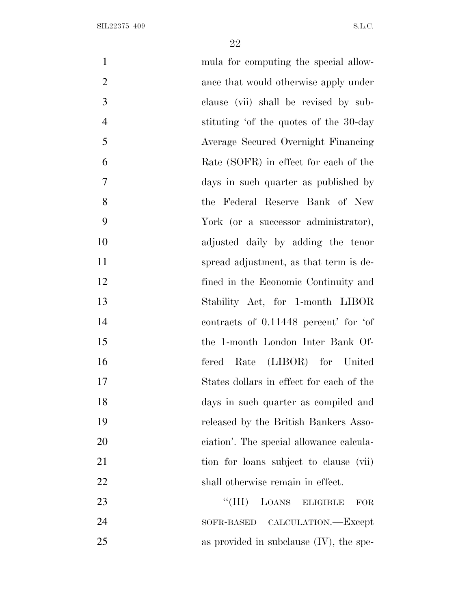| $\mathbf{1}$   | mula for computing the special allow-              |
|----------------|----------------------------------------------------|
| $\overline{2}$ | ance that would otherwise apply under              |
| 3              | clause (vii) shall be revised by sub-              |
| $\overline{4}$ | stituting 'of the quotes of the 30-day             |
| 5              | Average Secured Overnight Financing                |
| 6              | Rate (SOFR) in effect for each of the              |
| $\overline{7}$ | days in such quarter as published by               |
| 8              | the Federal Reserve Bank of New                    |
| 9              | York (or a successor administrator),               |
| 10             | adjusted daily by adding the tenor                 |
| 11             | spread adjustment, as that term is de-             |
| 12             | fined in the Economic Continuity and               |
| 13             | Stability Act, for 1-month LIBOR                   |
| 14             | contracts of 0.11448 percent' for 'of              |
| 15             | the 1-month London Inter Bank Of-                  |
| 16             | Rate (LIBOR) for United<br>fered                   |
| 17             | States dollars in effect for each of the           |
| 18             | days in such quarter as compiled and               |
| 19             | released by the British Bankers Asso-              |
| 20             | ciation'. The special allowance calcula-           |
| 21             | tion for loans subject to clause (vii)             |
| 22             | shall otherwise remain in effect.                  |
| 23             | ``(III)<br>LOANS ELIGIBLE<br><b>FOR</b>            |
| 24             | CALCULATION.—Except<br>$\operatorname{SOFR-BASED}$ |
| 25             | as provided in subclause $(IV)$ , the spe-         |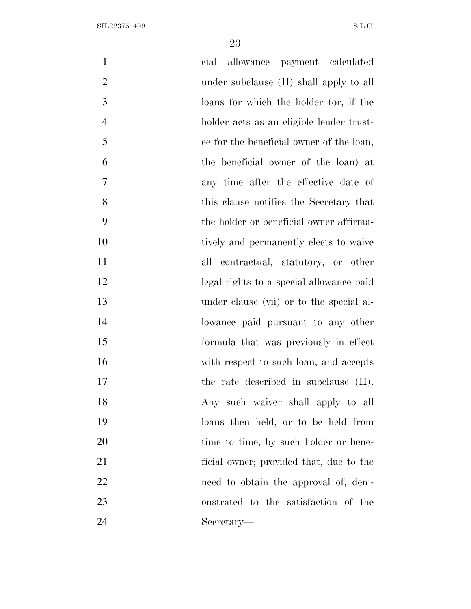| $\mathbf{1}$   | cial allowance payment calculated        |
|----------------|------------------------------------------|
| $\overline{2}$ | under subclause (II) shall apply to all  |
| 3              | loans for which the holder (or, if the   |
| $\overline{4}$ | holder acts as an eligible lender trust- |
| 5              | ee for the beneficial owner of the loan, |
| 6              | the beneficial owner of the loan) at     |
| $\tau$         | any time after the effective date of     |
| 8              | this clause notifies the Secretary that  |
| 9              | the holder or beneficial owner affirma-  |
| 10             | tively and permanently elects to waive   |
| 11             | all contractual, statutory, or other     |
| 12             | legal rights to a special allowance paid |
| 13             | under clause (vii) or to the special al- |
| 14             | lowance paid pursuant to any other       |
| 15             | formula that was previously in effect    |
| 16             | with respect to such loan, and accepts   |
| 17             | the rate described in subclause (II).    |
| 18             | Any such waiver shall apply to all       |
| 19             | loans then held, or to be held from      |
| 20             | time to time, by such holder or bene-    |
| 21             | ficial owner; provided that, due to the  |
| 22             | need to obtain the approval of, dem-     |
| 23             | onstrated to the satisfaction of the     |
| 24             | Secretary—                               |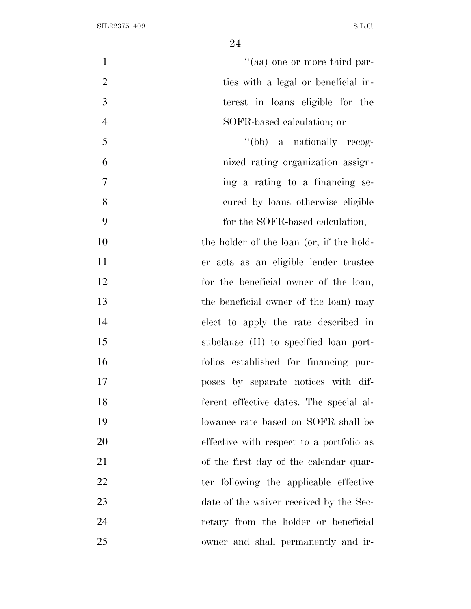| $\mathbf{1}$   | "(aa) one or more third par-             |
|----------------|------------------------------------------|
| $\overline{2}$ | ties with a legal or beneficial in-      |
| 3              | terest in loans eligible for the         |
| $\overline{4}$ | SOFR-based calculation; or               |
| 5              | "(bb) a nationally recog-                |
| 6              | nized rating organization assign-        |
| $\overline{7}$ | ing a rating to a financing se-          |
| 8              | cured by loans otherwise eligible        |
| 9              | for the SOFR-based calculation,          |
| 10             | the holder of the loan (or, if the hold- |
| 11             | er acts as an eligible lender trustee    |
| 12             | for the beneficial owner of the loan,    |
| 13             | the beneficial owner of the loan) may    |
| 14             | elect to apply the rate described in     |
| 15             | subclause (II) to specified loan port-   |
| 16             | folios established for financing pur-    |
| 17             | poses by separate notices with dif-      |
| 18             | ferent effective dates. The special al-  |
| 19             | lowance rate based on SOFR shall be      |
| 20             | effective with respect to a portfolio as |
| 21             | of the first day of the calendar quar-   |
| 22             | ter following the applicable effective   |
| 23             | date of the waiver received by the Sec-  |
| 24             | retary from the holder or beneficial     |
| 25             | owner and shall permanently and ir-      |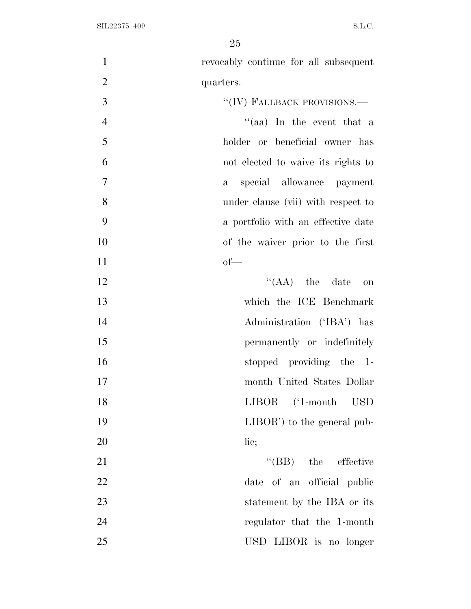| $\mathbf{1}$<br>revocably continue for all subsequent       |
|-------------------------------------------------------------|
| $\overline{2}$<br>quarters.                                 |
| 3<br>"(IV) FALLBACK PROVISIONS.—                            |
| $\overline{4}$<br>$``(aa)$ In the event that a              |
| 5<br>holder or beneficial owner has                         |
| 6<br>not elected to waive its rights to                     |
| $\overline{7}$<br>special allowance payment<br>$\mathbf{a}$ |
| 8<br>under clause (vii) with respect to                     |
| 9<br>a portfolio with an effective date                     |
| 10<br>of the waiver prior to the first                      |
| 11<br>$of$ —                                                |
| 12<br>$\lq\lq$ (AA) the date on                             |
| 13<br>which the ICE Benchmark                               |
| 14<br>Administration ('IBA') has                            |
| 15<br>permanently or indefinitely                           |
| 16<br>stopped providing the 1-                              |
| 17<br>month United States Dollar                            |
| 18<br>LIBOR ('1-month USD                                   |
| 19<br>$LIBOR'$ to the general pub-                          |
| 20<br>lic;                                                  |
| 21<br>$\text{``(BB)}$ the effective                         |
| 22<br>of an official public<br>date                         |
| 23<br>statement by the IBA or its                           |
| 24<br>regulator that the 1-month                            |
| 25<br>USD LIBOR is no longer                                |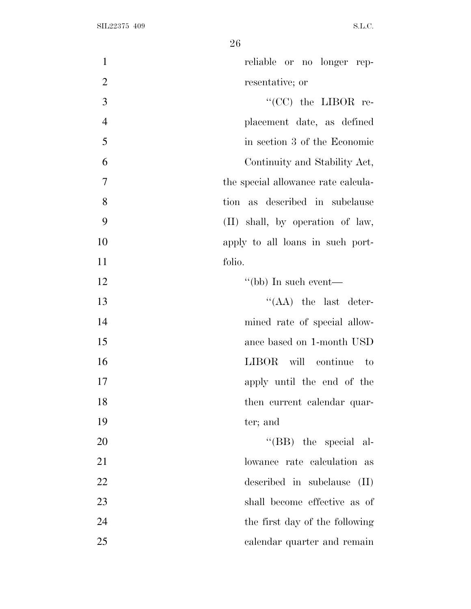| $\mathbf{1}$<br>reliable or no longer rep-    |
|-----------------------------------------------|
| $\overline{2}$<br>resentative; or             |
| 3<br>$\lq\lq$ (CC) the LIBOR re-              |
| $\overline{4}$<br>placement date, as defined  |
| 5<br>in section 3 of the Economic             |
| 6<br>Continuity and Stability Act,            |
| $\tau$<br>the special allowance rate calcula- |
| 8<br>tion as described in subclause           |
| 9<br>(II) shall, by operation of law,         |
| 10<br>apply to all loans in such port-        |
| 11<br>folio.                                  |
| 12<br>$\lq\lq(bb)$ In such event—             |
| $\lq\lq$ (AA) the last deter-<br>13           |
| 14<br>mined rate of special allow-            |
| 15<br>ance based on 1-month USD               |
| 16<br>LIBOR will continue to                  |
| 17<br>apply until the end of the              |
| 18<br>then current calendar quar-             |
| 19<br>ter; and                                |
| 20<br>"(BB) the special al-                   |
| 21<br>lowance rate calculation as             |
| 22<br>described in subclause<br>(II)          |
| 23<br>shall become effective as of            |
| 24<br>the first day of the following          |
| 25<br>calendar quarter and remain             |